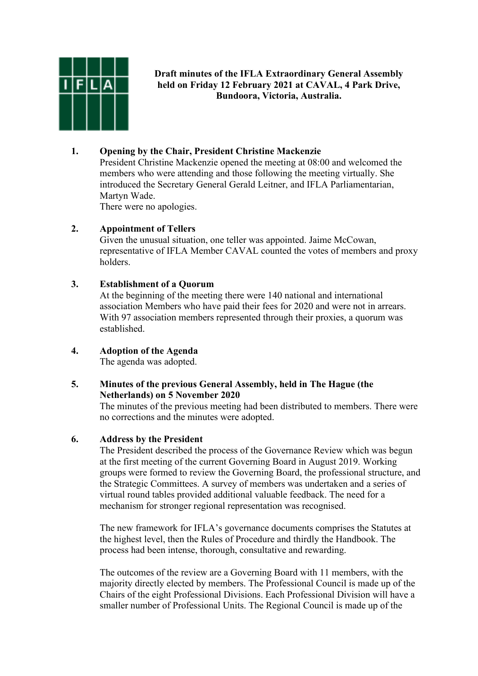

# **Draft minutes of the IFLA Extraordinary General Assembly held on Friday 12 February 2021 at CAVAL, 4 Park Drive, Bundoora, Victoria, Australia.**

# **1. Opening by the Chair, President Christine Mackenzie**

President Christine Mackenzie opened the meeting at 08:00 and welcomed the members who were attending and those following the meeting virtually. She introduced the Secretary General Gerald Leitner, and IFLA Parliamentarian, Martyn Wade.

There were no apologies.

### **2. Appointment of Tellers**

Given the unusual situation, one teller was appointed. Jaime McCowan, representative of IFLA Member CAVAL counted the votes of members and proxy holders.

### **3. Establishment of a Quorum**

At the beginning of the meeting there were 140 national and international association Members who have paid their fees for 2020 and were not in arrears. With 97 association members represented through their proxies, a quorum was established.

# **4. Adoption of the Agenda**

The agenda was adopted.

# **5. Minutes of the previous General Assembly, held in The Hague (the Netherlands) on 5 November 2020**

The minutes of the previous meeting had been distributed to members. There were no corrections and the minutes were adopted.

# **6. Address by the President**

The President described the process of the Governance Review which was begun at the first meeting of the current Governing Board in August 2019. Working groups were formed to review the Governing Board, the professional structure, and the Strategic Committees. A survey of members was undertaken and a series of virtual round tables provided additional valuable feedback. The need for a mechanism for stronger regional representation was recognised.

The new framework for IFLA's governance documents comprises the Statutes at the highest level, then the Rules of Procedure and thirdly the Handbook. The process had been intense, thorough, consultative and rewarding.

The outcomes of the review are a Governing Board with 11 members, with the majority directly elected by members. The Professional Council is made up of the Chairs of the eight Professional Divisions. Each Professional Division will have a smaller number of Professional Units. The Regional Council is made up of the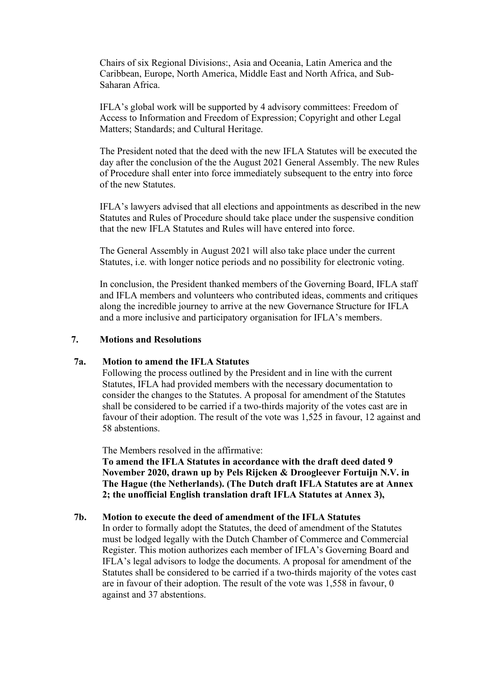Chairs of six Regional Divisions:, Asia and Oceania, Latin America and the Caribbean, Europe, North America, Middle East and North Africa, and Sub-Saharan Africa.

IFLA's global work will be supported by 4 advisory committees: Freedom of Access to Information and Freedom of Expression; Copyright and other Legal Matters; Standards; and Cultural Heritage.

The President noted that the deed with the new IFLA Statutes will be executed the day after the conclusion of the the August 2021 General Assembly. The new Rules of Procedure shall enter into force immediately subsequent to the entry into force of the new Statutes.

IFLA's lawyers advised that all elections and appointments as described in the new Statutes and Rules of Procedure should take place under the suspensive condition that the new IFLA Statutes and Rules will have entered into force.

The General Assembly in August 2021 will also take place under the current Statutes, i.e. with longer notice periods and no possibility for electronic voting.

In conclusion, the President thanked members of the Governing Board, IFLA staff and IFLA members and volunteers who contributed ideas, comments and critiques along the incredible journey to arrive at the new Governance Structure for IFLA and a more inclusive and participatory organisation for IFLA's members.

#### **7. Motions and Resolutions**

#### **7a. Motion to amend the IFLA Statutes**

Following the process outlined by the President and in line with the current Statutes, IFLA had provided members with the necessary documentation to consider the changes to the Statutes. A proposal for amendment of the Statutes shall be considered to be carried if a two-thirds majority of the votes cast are in favour of their adoption. The result of the vote was 1,525 in favour, 12 against and 58 abstentions.

The Members resolved in the affirmative:

**To amend the IFLA Statutes in accordance with the draft deed dated 9 November 2020, drawn up by Pels Rijcken & Droogleever Fortuijn N.V. in The Hague (the Netherlands). (The Dutch draft IFLA Statutes are at Annex 2; the unofficial English translation draft IFLA Statutes at Annex 3),**

#### **7b. Motion to execute the deed of amendment of the IFLA Statutes**

In order to formally adopt the Statutes, the deed of amendment of the Statutes must be lodged legally with the Dutch Chamber of Commerce and Commercial Register. This motion authorizes each member of IFLA's Governing Board and IFLA's legal advisors to lodge the documents. A proposal for amendment of the Statutes shall be considered to be carried if a two-thirds majority of the votes cast are in favour of their adoption. The result of the vote was 1,558 in favour, 0 against and 37 abstentions.